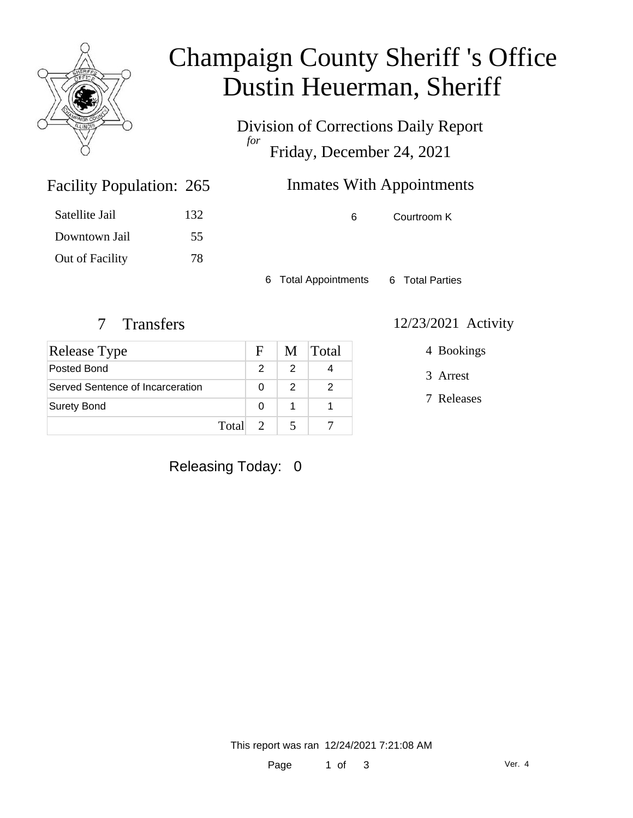

# Champaign County Sheriff 's Office Dustin Heuerman, Sheriff

Division of Corrections Daily Report *for* Friday, December 24, 2021

| 265           | <b>Inmates With Appointments</b> |
|---------------|----------------------------------|
| $\sim$ $\sim$ |                                  |

| 132 |
|-----|
| 55  |
| 78  |
|     |

Facility Population: 265

6 Courtroom K

6 Total Appointments 6 Total Parties

| Release Type                     | F.                     |   | M Total |
|----------------------------------|------------------------|---|---------|
| Posted Bond                      |                        | 2 |         |
| Served Sentence of Incarceration |                        | 2 |         |
| <b>Surety Bond</b>               | O                      |   |         |
|                                  | Total<br>$\mathcal{L}$ |   |         |

#### 7 Transfers 12/23/2021 Activity

4 Bookings

3 Arrest

7 Releases

### Releasing Today: 0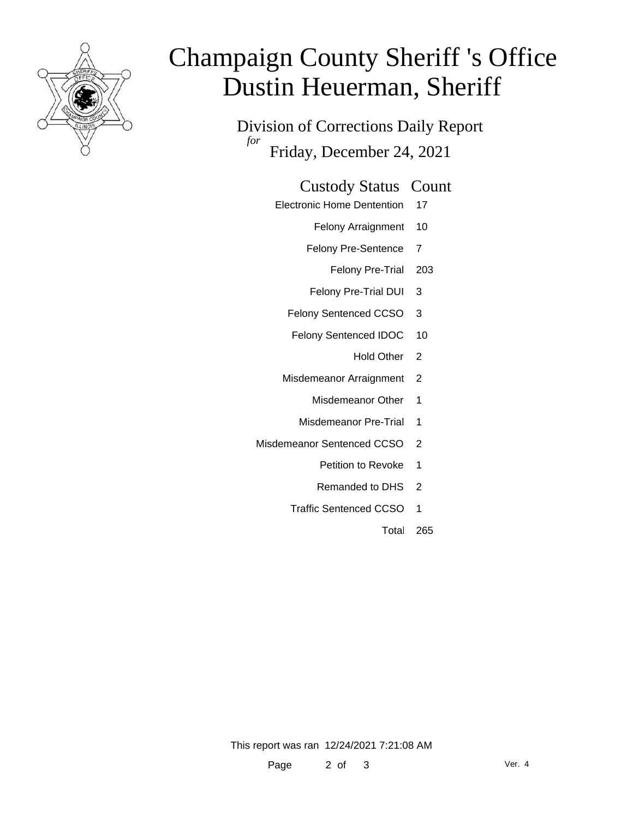

# Champaign County Sheriff 's Office Dustin Heuerman, Sheriff

Division of Corrections Daily Report *for* Friday, December 24, 2021

#### Custody Status Count

- Electronic Home Dentention 17
	- Felony Arraignment 10
	- Felony Pre-Sentence 7
		- Felony Pre-Trial 203
	- Felony Pre-Trial DUI 3
	- Felony Sentenced CCSO 3
	- Felony Sentenced IDOC 10
		- Hold Other 2
	- Misdemeanor Arraignment 2
		- Misdemeanor Other 1
		- Misdemeanor Pre-Trial 1
- Misdemeanor Sentenced CCSO 2
	- Petition to Revoke 1
	- Remanded to DHS 2
	- Traffic Sentenced CCSO 1
		- Total 265

This report was ran 12/24/2021 7:21:08 AM